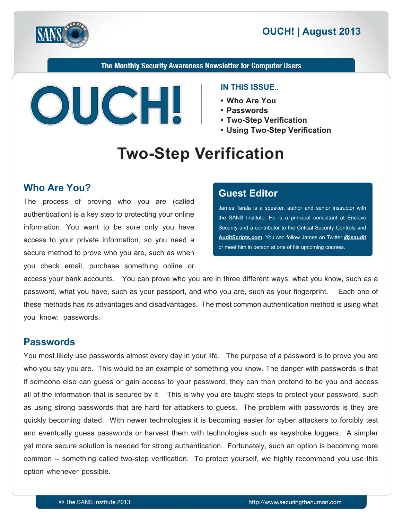

The Monthly Security Awareness Newsletter for Computer Users



#### **IN THIS ISSUE...**

- Who Are You
- **Passwords•**
- **Two-Step Verification** 
	- **Using Two-Step Verification**

# **Two-Step Verification**

## **Who Are You?**

The process of proving who you are (called authentication) is a key step to protecting your online information. You want to be sure only you have access to your private information, so you need a secure method to prove who you are, such as when you check email, purchase something online or

## **Editor Guest**

James Tarala is a speaker, author and senior instructor with the SANS Institute. He is a principal consultant at Enclave Security and a contributor to the Critical Security Controls and **AuditScripts.com.** You can follow James on Twitter @isaudit or meet him in person at one of his upcoming courses.

access your bank accounts. You can prove who you are in three different ways: what you know, such as a password, what you have, such as your passport, and who you are, such as your fingerprint. Each one of these methods has its advantages and disadvantages. The most common authentication method is using what you know: passwords.

## **Passwords**

You most likely use passwords almost every day in your life. The purpose of a password is to prove you are who you say you are. This would be an example of something you know. The danger with passwords is that if someone else can guess or gain access to your password, they can then pretend to be you and access all of the information that is secured by it. This is why you are taught steps to protect your password, such as using strong passwords that are hard for attackers to guess. The problem with passwords is they are quickly becoming dated. With newer technologies it is becoming easier for cyber attackers to forcibly test and eventually guess passwords or harvest them with technologies such as keystroke loggers. A simpler yet more secure solution is needed for strong authentication. Fortunately, such an option is becoming more common -- something called two-step verification. To protect yourself, we highly recommend you use this option whenever possible.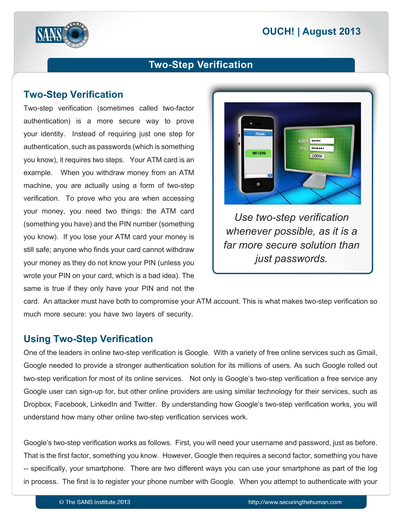## **2013 | OUCH! | August 2013**



## **Two-Step Verification**

## **Two-Step Verification**

Two-step verification (sometimes called two-factor authentication) is a more secure way to prove your identity. Instead of requiring just one step for authentication, such as passwords (which is something you know), it requires two steps. Your ATM card is an example. When you withdraw money from an ATM machine, you are actually using a form of two-step verification. To prove who you are when accessing your money, you need two things: the ATM card (something you have) and the PIN number (something) you know). If you lose your ATM card your money is still safe; anyone who finds your card cannot withdraw your money as they do not know your PIN (unless you wrote your PIN on your card, which is a bad idea). The same is true if they only have your PIN and not the



*<i>Use two-step verification whenever possible, as it is a far more secure solution than* just passwords.

card. An attacker must have both to compromise your ATM account. This is what makes two-step verification so much more secure: you have two layers of security.

## **Using Two-Step Verification**

One of the leaders in online two-step verification is Google. With a variety of free online services such as Gmail, Google needed to provide a stronger authentication solution for its millions of users. As such Google rolled out two-step verification for most of its online services. Not only is Google's two-step verification a free service any Google user can sign-up for, but other online providers are using similar technology for their services, such as Dropbox, Facebook, LinkedIn and Twitter. By understanding how Google's two-step verification works, you will understand how many other online two-step verification services work.

Google's two-step verification works as follows. First, you will need your username and password, just as before. That is the first factor, something you know. However, Google then requires a second factor, something you have -- specifically, your smartphone. There are two different ways you can use your smartphone as part of the log in process. The first is to register your phone number with Google. When you attempt to authenticate with your